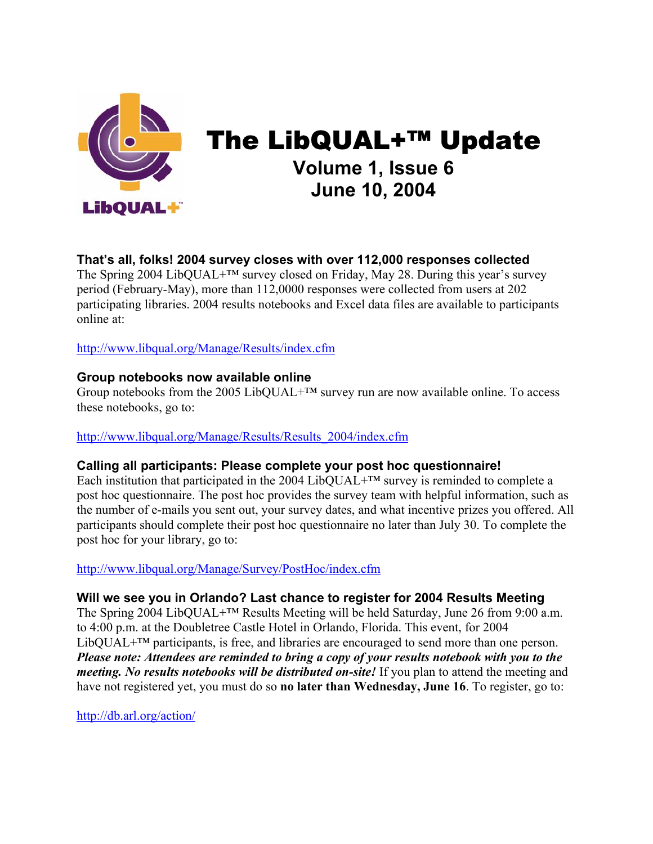

The LibQUAL+™ Update **Volume 1, Issue 6 June 10, 2004** 

# **That's all, folks! 2004 survey closes with over 112,000 responses collected**

The Spring 2004 LibQUAL+™ survey closed on Friday, May 28. During this year's survey period (February-May), more than 112,0000 responses were collected from users at 202 participating libraries. 2004 results notebooks and Excel data files are available to participants online at:

[http://www.libqual.org/Manage/Results/index.cfm](http://old.libqual.org/Manage/Results/index.cfm)

### **Group notebooks now available online**

Group notebooks from the 2005 LibQUAL $+^{TM}$  survey run are now available online. To access these notebooks, go to:

[http://www.libqual.org/Manage/Results/Results\\_2004/index.cfm](http://old.libqual.org/Manage/Results/Results_2004/index.cfm)

## **Calling all participants: Please complete your post hoc questionnaire!**

Each institution that participated in the 2004 LibQUAL+ $TM$  survey is reminded to complete a post hoc questionnaire. The post hoc provides the survey team with helpful information, such as the number of e-mails you sent out, your survey dates, and what incentive prizes you offered. All participants should complete their post hoc questionnaire no later than July 30. To complete the post hoc for your library, go to:

[http://www.libqual.org/Manage/Survey/PostHoc/index.cfm](http://old.libqual.org/Manage/Survey/PostHoc/index.cfm)

## **Will we see you in Orlando? Last chance to register for 2004 Results Meeting**

The Spring 2004 LibQUAL+™ Results Meeting will be held Saturday, June 26 from 9:00 a.m. to 4:00 p.m. at the Doubletree Castle Hotel in Orlando, Florida. This event, for 2004 LibQUAL+™ participants, is free, and libraries are encouraged to send more than one person. *Please note: Attendees are reminded to bring a copy of your results notebook with you to the meeting. No results notebooks will be distributed on-site!* If you plan to attend the meeting and have not registered yet, you must do so **no later than Wednesday, June 16**. To register, go to:

<http://db.arl.org/action/>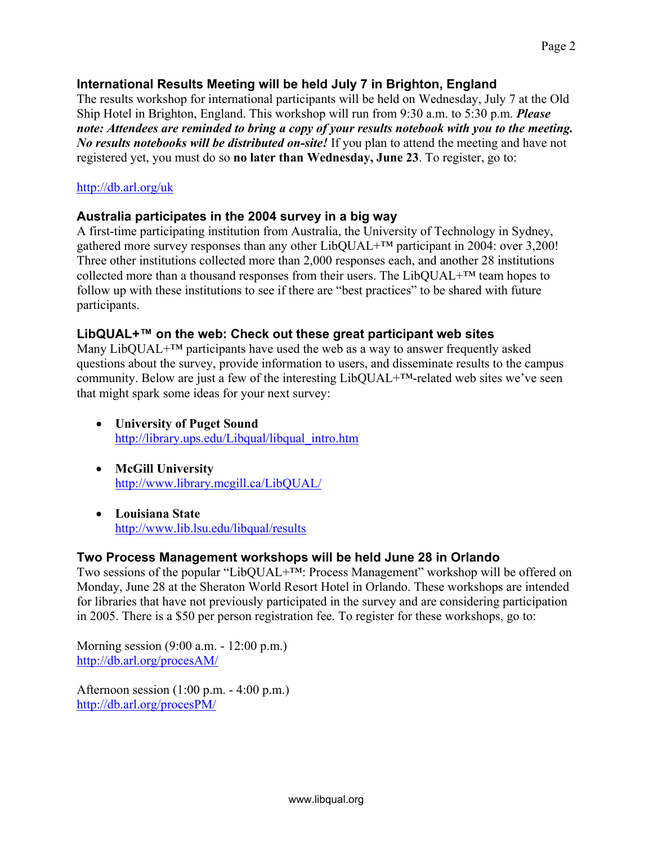#### **International Results Meeting will be held July 7 in Brighton, England**

The results workshop for international participants will be held on Wednesday, July 7 at the Old Ship Hotel in Brighton, England. This workshop will run from 9:30 a.m. to 5:30 p.m. *Please note: Attendees are reminded to bring a copy of your results notebook with you to the meeting. No results notebooks will be distributed on-site!* If you plan to attend the meeting and have not registered yet, you must do so **no later than Wednesday, June 23**. To register, go to:

### <http://db.arl.org/uk>

### **Australia participates in the 2004 survey in a big way**

A first-time participating institution from Australia, the University of Technology in Sydney, gathered more survey responses than any other LibQUAL+™ participant in 2004: over 3,200! Three other institutions collected more than 2,000 responses each, and another 28 institutions collected more than a thousand responses from their users. The LibQUAL+™ team hopes to follow up with these institutions to see if there are "best practices" to be shared with future participants.

#### **LibQUAL+™ on the web: Check out these great participant web sites**

Many LibQUAL $+^{TM}$  participants have used the web as a way to answer frequently asked questions about the survey, provide information to users, and disseminate results to the campus community. Below are just a few of the interesting LibQUAL+™-related web sites we've seen that might spark some ideas for your next survey:

- **University of Puget Sound** [http://library.ups.edu/Libqual/libqual\\_intro.htm](http://library.ups.edu/Libqual/libqual_intro.htm)
- **McGill University**  <http://www.library.mcgill.ca/LibQUAL/>
- **Louisiana State**  <http://www.lib.lsu.edu/libqual/results>

## **Two Process Management workshops will be held June 28 in Orlando**

Two sessions of the popular "LibQUAL+™: Process Management" workshop will be offered on Monday, June 28 at the Sheraton World Resort Hotel in Orlando. These workshops are intended for libraries that have not previously participated in the survey and are considering participation in 2005. There is a \$50 per person registration fee. To register for these workshops, go to:

Morning session (9:00 a.m. - 12:00 p.m.) <http://db.arl.org/procesAM/>

Afternoon session (1:00 p.m. - 4:00 p.m.) <http://db.arl.org/procesPM/>